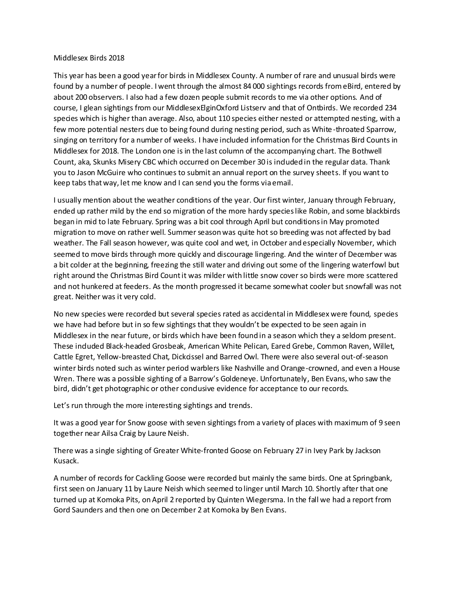## Middlesex Birds 2018

This year has been a good year for birds in Middlesex County. A number of rare and unusual birds were found by a number of people. I went through the almost 84 000 sightings records from eBird, entered by about 200 observers. I also had a few dozen people submit records to me via other options. And of course, I glean sightings from our MiddlesexElginOxford Listserv and that of Ontbirds. We recorded 234 species which is higher than average. Also, about 110 species either nested or attempted nesting, with a few more potential nesters due to being found during nesting period, such as White-throated Sparrow, singing on territory for a number of weeks. I have included information for the Christmas Bird Counts in Middlesex for 2018. The London one is in the last column of the accompanying chart. The Bothwell Count, aka, Skunks Misery CBC which occurred on December 30 is induded in the regular data. Thank you to Jason McGuire who continues to submit an annual report on the survey sheets. If you want to keep tabs that way, let me know and I can send you the forms via email.

I usually mention about the weather conditions of the year. Our first winter, January through February, ended up rather mild by the end so migration of the more hardy species like Robin, and some blackbirds began in mid to late February. Spring was a bit cool through April but conditions in May promoted migration to move on rather well. Summer season was quite hot so breeding was not affected by bad weather. The Fall season however, was quite cool and wet, in October and especially November, which seemed to move birds through more quickly and discourage lingering. And the winter of December was a bit colder at the beginning, freezing the still water and driving out some of the lingering waterfowl but right around the Christmas Bird Count it was milder with little snow cover so birds were more scattered and not hunkered at feeders. As the month progressed it became somewhat cooler but snowfall was not great. Neither was it very cold.

No new species were recorded but several species rated as accidental in Middlesex were found, species we have had before but in so few sightings that they wouldn't be expected to be seen again in Middlesex in the near future, or birds which have been found in a season which they a seldom present. These induded Black-headed Grosbeak, American White Pelican, Eared Grebe, Common Raven, Willet, Cattle Egret, Yellow-breasted Chat, Dickcissel and Barred Owl. There were also several out-of-season winter birds noted such as winter period warblers like Nashville and Orange-crowned, and even a House Wren. There was a possible sighting of a Barrow's Goldeneye. Unfortunately, Ben Evans, who saw the bird, didn't get photographic or other condusive evidence for acceptance to our records.

Let's run through the more interesting sightings and trends.

It was a good year for Snow goose with seven sightings from a variety of places with maximum of 9 seen together near Ailsa Craig by Laure Neish.

There was a single sighting of Greater White-fronted Goose on February 27 in Ivey Park by Jackson Kusack.

A number of records for Cackling Goose were recorded but mainly the same birds. One at Springbank, first seen on January 11 by Laure Neish which seemed to linger until March 10. Shortly after that one turned up at Komoka Pits, on April 2 reported by Quinten Wiegersma. In the fall we had a report from Gord Saunders and then one on December 2 at Komoka by Ben Evans.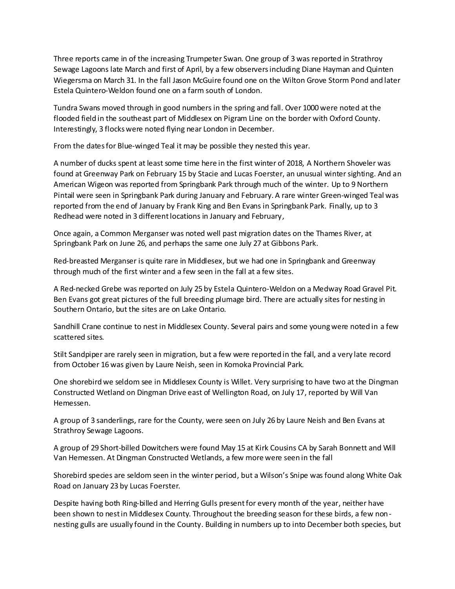Three reports came in of the increasing Trumpeter Swan. One group of 3 was reported in Strathroy Sewage Lagoons late March and first of April, by a few observers including Diane Hayman and Quinten Wiegersma on March 31. In the fall Jason McGuire found one on the Wilton Grove Storm Pond and later Estela Quintero-Weldon found one on a farm south of London.

Tundra Swans moved through in good numbers in the spring and fall. Over 1000 were noted at the flooded field in the southeast part of Middlesex on Pigram Line on the border with Oxford County. Interestingly, 3 flocks were noted flying near London in December.

From the dates for Blue-winged Teal it may be possible they nested this year.

A number of ducks spent at least some time here in the first winter of 2018, A Northern Shoveler was found at Greenway Park on February 15 by Stacie and Lucas Foerster, an unusual winter sighting. And an American Wigeon was reported from Springbank Park through much of the winter. Up to 9 Northern Pintail were seen in Springbank Park during January and February. A rare winter Green-winged Teal was reported from the end of January by Frank King and Ben Evans in Springbank Park. Finally, up to 3 Redhead were noted in 3 different locations in January and February,

Once again, a Common Merganser was noted well past migration dates on the Thames River, at Springbank Park on June 26, and perhaps the same one July 27 at Gibbons Park.

Red-breasted Merganser is quite rare in Middlesex, but we had one in Springbank and Greenway through much of the first winter and a few seen in the fall at a few sites.

A Red-necked Grebe was reported on July 25 by Estela Quintero-Weldon on a Medway Road Gravel Pit. Ben Evans got great pictures of the full breeding plumage bird. There are actually sites for nesting in Southern Ontario, but the sites are on Lake Ontario.

Sandhill Crane continue to nest in Middlesex County. Several pairs and some young were noted in a few scattered sites.

Stilt Sandpiper are rarely seen in migration, but a few were reported in the fall, and a very late record from October 16 was given by Laure Neish, seen in Komoka Provincial Park.

One shorebird we seldom see in Middlesex County is Willet. Very surprising to have two at the Dingman Constructed Wetland on Dingman Drive east of Wellington Road, on July 17, reported by Will Van Hemessen.

A group of 3 sanderlings, rare for the County, were seen on July 26 by Laure Neish and Ben Evans at Strathroy Sewage Lagoons.

A group of 29 Short-billed Dowitchers were found May 15 at Kirk Cousins CA by Sarah Bonnett and Will Van Hemessen. At Dingman Constructed Wetlands, a few more were seen in the fall

Shorebird species are seldom seen in the winter period, but a Wilson's Snipe was found along White Oak Road on January 23 by Lucas Foerster.

Despite having both Ring-billed and Herring Gulls present for every month of the year, neither have been shown to nest in Middlesex County. Throughout the breeding season for these birds, a few nonnesting gulls are usually found in the County. Building in numbers up to into December both species, but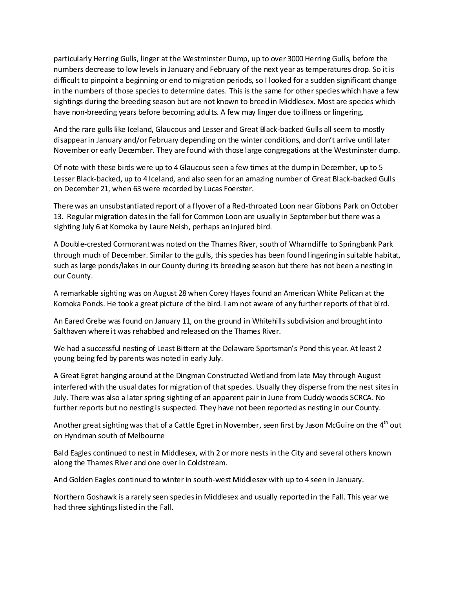particularly Herring Gulls, linger at the Westminster Dump, up to over 3000 Herring Gulls, before the numbers decrease to low levels in January and February of the next year as temperatures drop. So itis difficult to pinpoint a beginning or end to migration periods, so I looked for a sudden significant change in the numbers of those species to determine dates. This is the same for other species which have a few sightings during the breeding season but are not known to breed in Middlesex. Most are species which have non-breeding years before becoming adults. A few may linger due to illness or lingering.

And the rare gulls like Iceland, Glaucous and Lesser and Great Black-backed Gulls all seem to mostly disappear in January and/or February depending on the winter conditions, and don't arrive until later November or early December. They are found with those large congregations at the Westminster dump.

Of note with these birds were up to 4 Glaucous seen a few times at the dump in December, up to 5 Lesser Black-backed, up to 4 Iceland, and also seen for an amazing number of Great Black-backed Gulls on December 21, when 63 were recorded by Lucas Foerster.

There was an unsubstantiated report of a flyover of a Red-throated Loon near Gibbons Park on October 13. Regular migration dates in the fall for Common Loon are usually in September but there was a sighting July 6 at Komoka by Laure Neish, perhaps an injured bird.

A Double-crested Cormorant was noted on the Thames River, south of Wharncliffe to Springbank Park through much of December. Similar to the gulls, this species has been found lingering in suitable habitat, such as large ponds/lakes in our County during its breeding season but there has not been a nesting in our County.

A remarkable sighting was on August 28 when Corey Hayes found an American White Pelican at the Komoka Ponds. He took a great picture of the bird. I am not aware of any further reports of that bird.

An Eared Grebe was found on January 11, on the ground in Whitehills subdivision and brought into Salthaven where it was rehabbed and released on the Thames River.

We had a successful nesting of Least Bittern at the Delaware Sportsman's Pond this year. At least 2 young being fed by parents was noted in early July.

A Great Egret hanging around at the Dingman Constructed Wetland from late May through August interfered with the usual dates for migration of that species. Usually they disperse from the nest sites in July. There was also a later spring sighting of an apparent pair in June from Cuddy woods SCRCA. No further reports but no nesting is suspected. They have not been reported as nesting in our County.

Another great sighting was that of a Cattle Egret in November, seen first by Jason McGuire on the  $4<sup>th</sup>$  out on Hyndman south of Melbourne

Bald Eagles continued to nest in Middlesex, with 2 or more nests in the City and several others known along the Thames River and one over in Coldstream.

And Golden Eagles continued to winter in south-west Middlesex with up to 4 seen in January.

Northern Goshawk is a rarely seen species in Middlesex and usually reported in the Fall. This year we had three sightings listed in the Fall.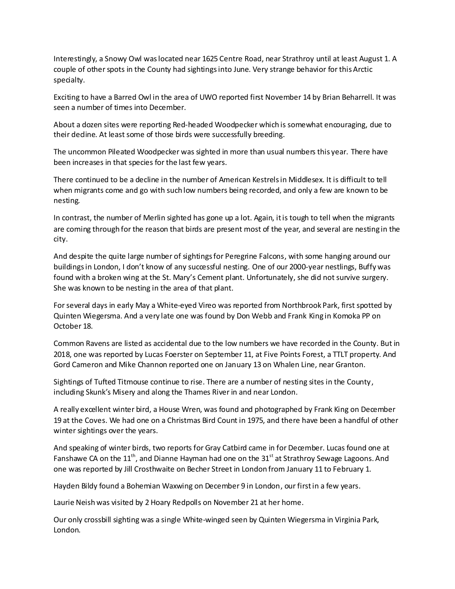Interestingly, a Snowy Owl was located near 1625 Centre Road, near Strathroy until at least August 1. A couple of other spots in the County had sightingsinto June. Very strange behavior for this Arctic specialty.

Exciting to have a Barred Owl in the area of UWO reported first November 14 by Brian Beharrell. It was seen a number of times into December.

About a dozen sites were reporting Red-headed Woodpecker which is somewhat encouraging, due to their dedine. At least some of those birds were successfully breeding.

The uncommon Pileated Woodpecker was sighted in more than usual numbers this year. There have been increases in that species for the last few years.

There continued to be a decline in the number of American Kestrels in Middlesex. It is difficult to tell when migrants come and go with such low numbers being recorded, and only a few are known to be nesting.

In contrast, the number of Merlin sighted has gone up a lot. Again, it is tough to tell when the migrants are coming through for the reason that birds are present most of the year, and several are nesting in the city.

And despite the quite large number of sightings for Peregrine Falcons, with some hanging around our buildings in London, I don't know of any successful nesting. One of our 2000-year nestlings, Buffy was found with a broken wing at the St. Mary's Cement plant. Unfortunately, she did not survive surgery. She was known to be nesting in the area of that plant.

For several days in early May a White-eyed Vireo was reported from Northbrook Park, first spotted by Quinten Wiegersma. And a very late one was found by Don Webb and Frank King in Komoka PP on October 18.

Common Ravens are listed as accidental due to the low numbers we have recorded in the County. But in 2018, one was reported by Lucas Foerster on September 11, at Five Points Forest, a TTLT property. And Gord Cameron and Mike Channon reported one on January 13 on Whalen Line, near Granton.

Sightings of Tufted Titmouse continue to rise. There are a number of nesting sites in the County, including Skunk's Misery and along the Thames River in and near London.

A really excellent winter bird, a House Wren, was found and photographed by Frank King on December 19 at the Coves. We had one on a Christmas Bird Count in 1975, and there have been a handful of other winter sightings over the years.

And speaking of winter birds, two reports for Gray Catbird came in for December. Lucas found one at Fanshawe CA on the 11<sup>th</sup>, and Dianne Hayman had one on the 31<sup>st</sup> at Strathroy Sewage Lagoons. And one was reported by Jill Crosthwaite on Becher Street in London from January 11 to February 1.

Hayden Bildy found a Bohemian Waxwing on December 9 in London, our first in a few years.

Laurie Neish was visited by 2 Hoary Redpolls on November 21 at her home.

Our only crossbill sighting was a single White-winged seen by Quinten Wiegersma in Virginia Park, London.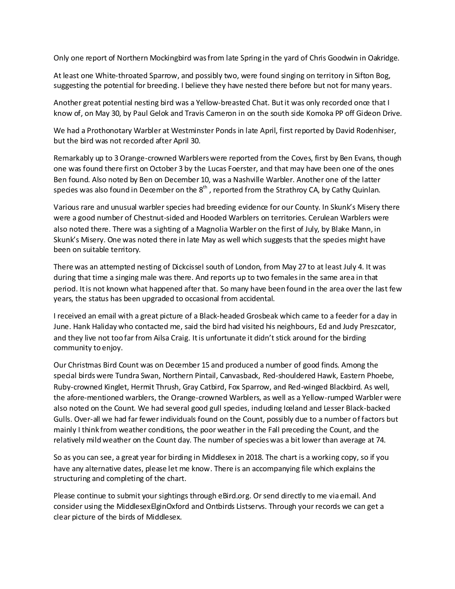Only one report of Northern Mockingbird was from late Spring in the yard of Chris Goodwin in Oakridge.

At least one White-throated Sparrow, and possibly two, were found singing on territory in Sifton Bog, suggesting the potential for breeding. I believe they have nested there before but not for many years.

Another great potential nesting bird was a Yellow-breasted Chat. But it was only recorded once that I know of, on May 30, by Paul Gelok and Travis Cameron in on the south side Komoka PP off Gideon Drive.

We had a Prothonotary Warbler at Westminster Ponds in late April, first reported by David Rodenhiser, but the bird was not recorded after April 30.

Remarkably up to 3 Orange-crowned Warblers were reported from the Coves, first by Ben Evans, though one was found there first on October 3 by the Lucas Foerster, and that may have been one of the ones Ben found. Also noted by Ben on December 10, was a Nashville Warbler. Another one of the latter species was also found in December on the  $8^{th}$  , reported from the Strathroy CA, by Cathy Quinlan.

Various rare and unusual warbler species had breeding evidence for our County. In Skunk's Misery there were a good number of Chestnut-sided and Hooded Warblers on territories. Cerulean Warblers were also noted there. There was a sighting of a Magnolia Warbler on the first of July, by Blake Mann, in Skunk's Misery. One was noted there in late May as well which suggests that the species might have been on suitable territory.

There was an attempted nesting of Dickcissel south of London, from May 27 to at least July 4. It was during that time a singing male was there. And reports up to two females in the same area in that period. It is not known what happened after that. So many have been found in the area over the last few years, the status has been upgraded to occasional from accidental.

I received an email with a great picture of a Black-headed Grosbeak which came to a feeder for a day in June. Hank Haliday who contacted me, said the bird had visited his neighbours, Ed and Judy Preszcator, and they live not too far from Ailsa Craig. It is unfortunate it didn't stick around for the birding community to enjoy.

Our Christmas Bird Count was on December 15 and produced a number of good finds. Among the special birds were Tundra Swan, Northern Pintail, Canvasback, Red-shouldered Hawk, Eastern Phoebe, Ruby-crowned Kinglet, Hermit Thrush, Gray Catbird, Fox Sparrow, and Red-winged Blackbird. As well, the afore-mentioned warblers, the Orange-crowned Warblers, as well as a Yellow-rumped Warbler were also noted on the Count. We had several good gull species, induding Iceland and Lesser Black-backed Gulls. Over-all we had far fewer individuals found on the Count, possibly due to a number of factors but mainly I think from weather conditions, the poor weather in the Fall preceding the Count, and the relatively mild weather on the Count day. The number of species was a bit lower than average at 74.

So as you can see, a great year for birding in Middlesex in 2018. The chart is a working copy, so if you have any alternative dates, please let me know. There is an accompanying file which explains the structuring and completing of the chart.

Please continue to submit your sightings through eBird.org. Or send directly to me via email. And consider using the MiddlesexElginOxford and Ontbirds Listservs. Through your records we can get a clear picture of the birds of Middlesex.